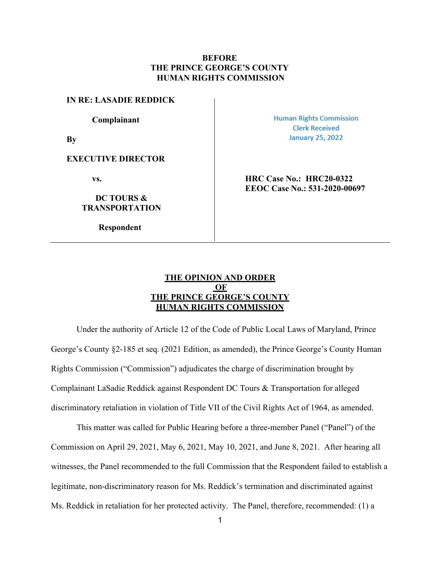# **BEFORE THE PRINCE GEORGE'S COUNTY HUMAN RIGHTS COMMISSION**

#### **IN RE: LASADIE REDDICK**

**Complainant**

**By**

#### **EXECUTIVE DIRECTOR**

## **DC TOURS & TRANSPORTATION**

**Respondent**

**Human Rights Commission Clerk Received January 25, 2022** 

**vs. HRC Case No.: HRC20-0322 EEOC Case No.: 531-2020-00697**

# **THE OPINION AND ORDER OF THE PRINCE GEORGE'S COUNTY HUMAN RIGHTS COMMISSION**

Under the authority of Article 12 of the Code of Public Local Laws of Maryland, Prince George's County §2-185 et seq. (2021 Edition, as amended), the Prince George's County Human Rights Commission ("Commission") adjudicates the charge of discrimination brought by Complainant LaSadie Reddick against Respondent DC Tours & Transportation for alleged discriminatory retaliation in violation of Title VII of the Civil Rights Act of 1964, as amended.

This matter was called for Public Hearing before a three-member Panel ("Panel") of the Commission on April 29, 2021, May 6, 2021, May 10, 2021, and June 8, 2021. After hearing all witnesses, the Panel recommended to the full Commission that the Respondent failed to establish a legitimate, non-discriminatory reason for Ms. Reddick's termination and discriminated against Ms. Reddick in retaliation for her protected activity. The Panel, therefore, recommended: (1) a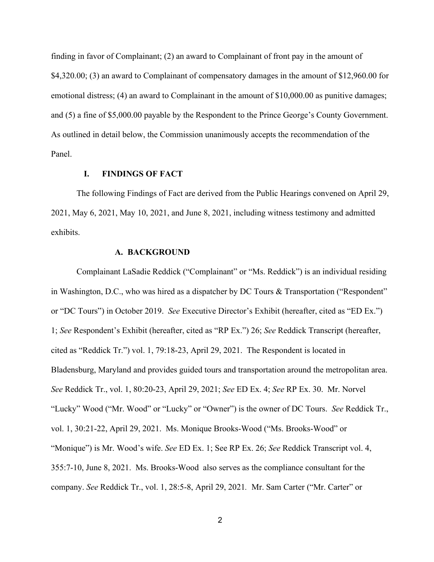finding in favor of Complainant; (2) an award to Complainant of front pay in the amount of \$4,320.00; (3) an award to Complainant of compensatory damages in the amount of \$12,960.00 for emotional distress; (4) an award to Complainant in the amount of \$10,000.00 as punitive damages; and (5) a fine of \$5,000.00 payable by the Respondent to the Prince George's County Government. As outlined in detail below, the Commission unanimously accepts the recommendation of the Panel.

## **I. FINDINGS OF FACT**

The following Findings of Fact are derived from the Public Hearings convened on April 29, 2021, May 6, 2021, May 10, 2021, and June 8, 2021, including witness testimony and admitted exhibits.

### **A. BACKGROUND**

Complainant LaSadie Reddick ("Complainant" or "Ms. Reddick") is an individual residing in Washington, D.C., who was hired as a dispatcher by DC Tours & Transportation ("Respondent" or "DC Tours") in October 2019. *See* Executive Director's Exhibit (hereafter, cited as "ED Ex.") 1; *See* Respondent's Exhibit (hereafter, cited as "RP Ex.") 26; *See* Reddick Transcript (hereafter, cited as "Reddick Tr.") vol. 1, 79:18-23, April 29, 2021. The Respondent is located in Bladensburg, Maryland and provides guided tours and transportation around the metropolitan area. *See* Reddick Tr., vol. 1, 80:20-23, April 29, 2021; *See* ED Ex. 4; *See* RP Ex. 30. Mr. Norvel "Lucky" Wood ("Mr. Wood" or "Lucky" or "Owner") is the owner of DC Tours. *See* Reddick Tr., vol. 1, 30:21-22, April 29, 2021. Ms. Monique Brooks-Wood ("Ms. Brooks-Wood" or "Monique") is Mr. Wood's wife. *See* ED Ex. 1; See RP Ex. 26; *See* Reddick Transcript vol. 4, 355:7-10, June 8, 2021. Ms. Brooks-Wood also serves as the compliance consultant for the company. *See* Reddick Tr., vol. 1, 28:5-8, April 29, 2021*.* Mr. Sam Carter ("Mr. Carter" or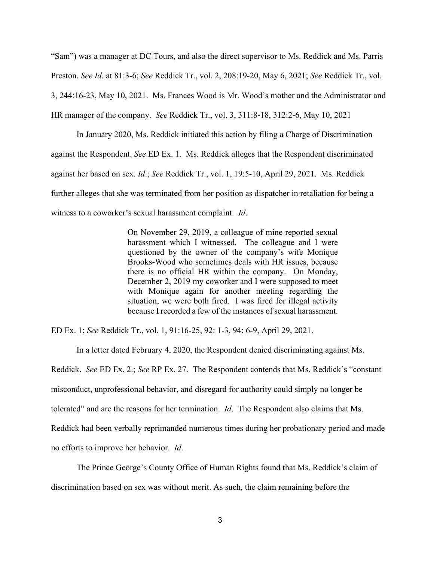"Sam") was a manager at DC Tours, and also the direct supervisor to Ms. Reddick and Ms. Parris Preston. *See Id*. at 81:3-6; *See* Reddick Tr., vol. 2, 208:19-20, May 6, 2021; *See* Reddick Tr., vol. 3, 244:16-23, May 10, 2021. Ms. Frances Wood is Mr. Wood's mother and the Administrator and HR manager of the company. *See* Reddick Tr., vol. 3, 311:8-18, 312:2-6, May 10, 2021

In January 2020, Ms. Reddick initiated this action by filing a Charge of Discrimination against the Respondent. *See* ED Ex. 1. Ms. Reddick alleges that the Respondent discriminated against her based on sex. *Id*.; *See* Reddick Tr., vol. 1, 19:5-10, April 29, 2021. Ms. Reddick further alleges that she was terminated from her position as dispatcher in retaliation for being a witness to a coworker's sexual harassment complaint. *Id*.

> On November 29, 2019, a colleague of mine reported sexual harassment which I witnessed. The colleague and I were questioned by the owner of the company's wife Monique Brooks-Wood who sometimes deals with HR issues, because there is no official HR within the company. On Monday, December 2, 2019 my coworker and I were supposed to meet with Monique again for another meeting regarding the situation, we were both fired. I was fired for illegal activity because I recorded a few of the instances of sexual harassment.

ED Ex. 1; *See* Reddick Tr., vol. 1, 91:16-25, 92: 1-3, 94: 6-9, April 29, 2021.

In a letter dated February 4, 2020, the Respondent denied discriminating against Ms. Reddick. *See* ED Ex. 2.; *See* RP Ex. 27. The Respondent contends that Ms. Reddick's "constant misconduct, unprofessional behavior, and disregard for authority could simply no longer be tolerated" and are the reasons for her termination. *Id*. The Respondent also claims that Ms. Reddick had been verbally reprimanded numerous times during her probationary period and made

no efforts to improve her behavior. *Id*.

The Prince George's County Office of Human Rights found that Ms. Reddick's claim of discrimination based on sex was without merit. As such, the claim remaining before the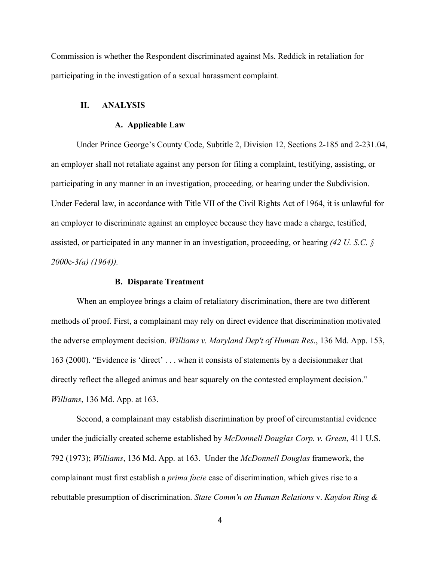Commission is whether the Respondent discriminated against Ms. Reddick in retaliation for participating in the investigation of a sexual harassment complaint.

# **II. ANALYSIS**

### **A. Applicable Law**

Under Prince George's County Code, Subtitle 2, Division 12, Sections 2-185 and 2-231.04, an employer shall not retaliate against any person for filing a complaint, testifying, assisting, or participating in any manner in an investigation, proceeding, or hearing under the Subdivision. Under Federal law, in accordance with Title VII of the Civil Rights Act of 1964, it is unlawful for an employer to discriminate against an employee because they have made a charge, testified, assisted, or participated in any manner in an investigation, proceeding, or hearing *(42 U. S.C. § 2000*e*-3(a) (1964)).* 

#### **B. Disparate Treatment**

When an employee brings a claim of retaliatory discrimination, there are two different methods of proof. First, a complainant may rely on direct evidence that discrimination motivated the adverse employment decision. *Williams v. Maryland Dep't of Human Res*., 136 Md. App. 153, 163 (2000). "Evidence is 'direct' . . . when it consists of statements by a decisionmaker that directly reflect the alleged animus and bear squarely on the contested employment decision." *Williams*, 136 Md. App. at 163.

Second, a complainant may establish discrimination by proof of circumstantial evidence under the judicially created scheme established by *McDonnell Douglas Corp. v. Green*, 411 U.S. 792 (1973); *Williams*, 136 Md. App. at 163. Under the *McDonnell Douglas* framework, the complainant must first establish a *prima facie* case of discrimination, which gives rise to a rebuttable presumption of discrimination. *State Comm'n on Human Relations* v. *Kaydon Ring &*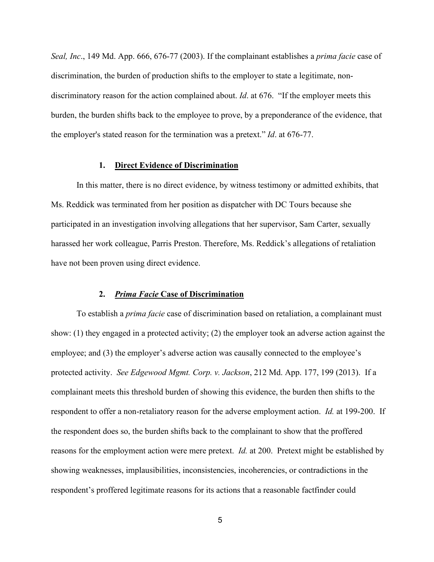*Seal, Inc*., 149 Md. App. 666, 676-77 (2003). If the complainant establishes a *prima facie* case of discrimination, the burden of production shifts to the employer to state a legitimate, nondiscriminatory reason for the action complained about. *Id*. at 676. "If the employer meets this burden, the burden shifts back to the employee to prove, by a preponderance of the evidence, that the employer's stated reason for the termination was a pretext." *Id*. at 676-77.

### **1. Direct Evidence of Discrimination**

In this matter, there is no direct evidence, by witness testimony or admitted exhibits, that Ms. Reddick was terminated from her position as dispatcher with DC Tours because she participated in an investigation involving allegations that her supervisor, Sam Carter, sexually harassed her work colleague, Parris Preston. Therefore, Ms. Reddick's allegations of retaliation have not been proven using direct evidence.

### **2.** *Prima Facie* **Case of Discrimination**

To establish a *prima facie* case of discrimination based on retaliation, a complainant must show: (1) they engaged in a protected activity; (2) the employer took an adverse action against the employee; and (3) the employer's adverse action was causally connected to the employee's protected activity. *See Edgewood Mgmt. Corp. v. Jackson*, 212 Md. App. 177, 199 (2013). If a complainant meets this threshold burden of showing this evidence, the burden then shifts to the respondent to offer a non-retaliatory reason for the adverse employment action. *Id.* at 199-200. If the respondent does so, the burden shifts back to the complainant to show that the proffered reasons for the employment action were mere pretext. *Id.* at 200. Pretext might be established by showing weaknesses, implausibilities, inconsistencies, incoherencies, or contradictions in the respondent's proffered legitimate reasons for its actions that a reasonable factfinder could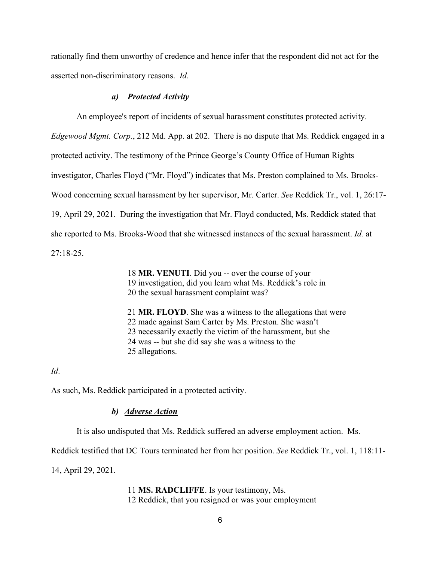rationally find them unworthy of credence and hence infer that the respondent did not act for the asserted non-discriminatory reasons. *Id.*

#### *a) Protected Activity*

An employee's report of incidents of sexual harassment constitutes protected activity.

*Edgewood Mgmt. Corp.*, 212 Md. App. at 202. There is no dispute that Ms. Reddick engaged in a

protected activity. The testimony of the Prince George's County Office of Human Rights

investigator, Charles Floyd ("Mr. Floyd") indicates that Ms. Preston complained to Ms. Brooks-

Wood concerning sexual harassment by her supervisor, Mr. Carter. *See* Reddick Tr., vol. 1, 26:17-

19, April 29, 2021. During the investigation that Mr. Floyd conducted, Ms. Reddick stated that

she reported to Ms. Brooks-Wood that she witnessed instances of the sexual harassment. *Id.* at

27:18-25.

18 **MR. VENUTI**. Did you -- over the course of your 19 investigation, did you learn what Ms. Reddick's role in 20 the sexual harassment complaint was?

21 **MR. FLOYD**. She was a witness to the allegations that were 22 made against Sam Carter by Ms. Preston. She wasn't 23 necessarily exactly the victim of the harassment, but she 24 was -- but she did say she was a witness to the 25 allegations.

*Id*.

As such, Ms. Reddick participated in a protected activity.

### *b) Adverse Action*

It is also undisputed that Ms. Reddick suffered an adverse employment action. Ms.

Reddick testified that DC Tours terminated her from her position. *See* Reddick Tr., vol. 1, 118:11-

14, April 29, 2021.

11 **MS. RADCLIFFE**. Is your testimony, Ms. 12 Reddick, that you resigned or was your employment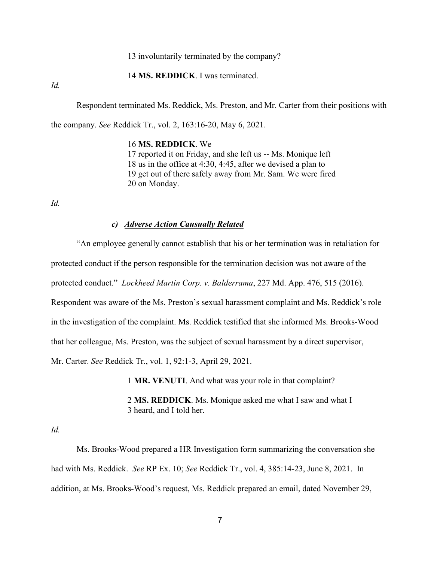13 involuntarily terminated by the company?

14 **MS. REDDICK**. I was terminated.

*Id.*

Respondent terminated Ms. Reddick, Ms. Preston, and Mr. Carter from their positions with

the company. *See* Reddick Tr., vol. 2, 163:16-20, May 6, 2021.

### 16 **MS. REDDICK**. We

17 reported it on Friday, and she left us -- Ms. Monique left 18 us in the office at 4:30, 4:45, after we devised a plan to 19 get out of there safely away from Mr. Sam. We were fired 20 on Monday.

*Id.*

#### *c) Adverse Action Causually Related*

"An employee generally cannot establish that his or her termination was in retaliation for protected conduct if the person responsible for the termination decision was not aware of the protected conduct." *Lockheed Martin Corp. v. Balderrama*, 227 Md. App. 476, 515 (2016). Respondent was aware of the Ms. Preston's sexual harassment complaint and Ms. Reddick's role in the investigation of the complaint. Ms. Reddick testified that she informed Ms. Brooks-Wood that her colleague, Ms. Preston, was the subject of sexual harassment by a direct supervisor, Mr. Carter. *See* Reddick Tr., vol. 1, 92:1-3, April 29, 2021.

1 **MR. VENUTI**. And what was your role in that complaint?

2 **MS. REDDICK**. Ms. Monique asked me what I saw and what I 3 heard, and I told her.

*Id.*

Ms. Brooks-Wood prepared a HR Investigation form summarizing the conversation she had with Ms. Reddick. *See* RP Ex. 10; *See* Reddick Tr., vol. 4, 385:14-23, June 8, 2021. In addition, at Ms. Brooks-Wood's request, Ms. Reddick prepared an email, dated November 29,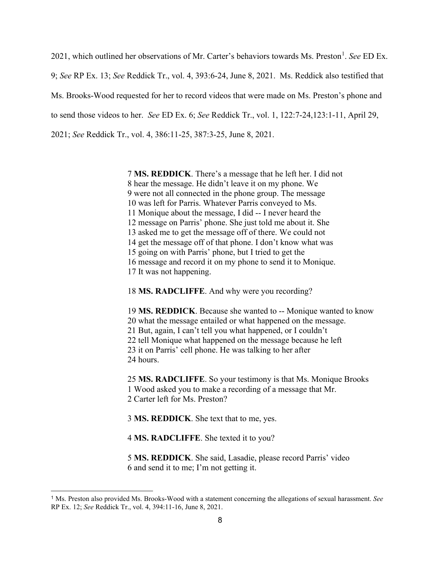202[1](#page-7-0), which outlined her observations of Mr. Carter's behaviors towards Ms. Preston<sup>1</sup>. See ED Ex. 9; *See* RP Ex. 13; *See* Reddick Tr., vol. 4, 393:6-24, June 8, 2021. Ms. Reddick also testified that Ms. Brooks-Wood requested for her to record videos that were made on Ms. Preston's phone and to send those videos to her. *See* ED Ex. 6; *See* Reddick Tr., vol. 1, 122:7-24,123:1-11, April 29, 2021; *See* Reddick Tr., vol. 4, 386:11-25, 387:3-25, June 8, 2021.

> 7 **MS. REDDICK**. There's a message that he left her. I did not 8 hear the message. He didn't leave it on my phone. We 9 were not all connected in the phone group. The message 10 was left for Parris. Whatever Parris conveyed to Ms. 11 Monique about the message, I did -- I never heard the 12 message on Parris' phone. She just told me about it. She 13 asked me to get the message off of there. We could not 14 get the message off of that phone. I don't know what was 15 going on with Parris' phone, but I tried to get the 16 message and record it on my phone to send it to Monique. 17 It was not happening.

18 **MS. RADCLIFFE**. And why were you recording?

19 **MS. REDDICK**. Because she wanted to -- Monique wanted to know 20 what the message entailed or what happened on the message. 21 But, again, I can't tell you what happened, or I couldn't 22 tell Monique what happened on the message because he left 23 it on Parris' cell phone. He was talking to her after 24 hours.

25 **MS. RADCLIFFE**. So your testimony is that Ms. Monique Brooks 1 Wood asked you to make a recording of a message that Mr. 2 Carter left for Ms. Preston?

3 **MS. REDDICK**. She text that to me, yes.

4 **MS. RADCLIFFE**. She texted it to you?

5 **MS. REDDICK**. She said, Lasadie, please record Parris' video 6 and send it to me; I'm not getting it.

<span id="page-7-0"></span><sup>1</sup> Ms. Preston also provided Ms. Brooks-Wood with a statement concerning the allegations of sexual harassment. *See* RP Ex. 12; *See* Reddick Tr., vol. 4, 394:11-16, June 8, 2021.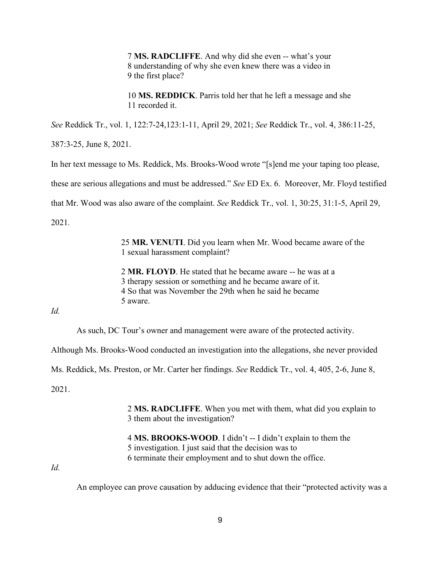7 **MS. RADCLIFFE**. And why did she even -- what's your 8 understanding of why she even knew there was a video in 9 the first place?

10 **MS. REDDICK**. Parris told her that he left a message and she 11 recorded it.

*See* Reddick Tr., vol. 1, 122:7-24,123:1-11, April 29, 2021; *See* Reddick Tr., vol. 4, 386:11-25,

387:3-25, June 8, 2021.

In her text message to Ms. Reddick, Ms. Brooks-Wood wrote "[s]end me your taping too please,

these are serious allegations and must be addressed." *See* ED Ex. 6. Moreover, Mr. Floyd testified

that Mr. Wood was also aware of the complaint. *See* Reddick Tr., vol. 1, 30:25, 31:1-5, April 29,

2021*.*

25 **MR. VENUTI**. Did you learn when Mr. Wood became aware of the 1 sexual harassment complaint?

2 **MR. FLOYD**. He stated that he became aware -- he was at a 3 therapy session or something and he became aware of it. 4 So that was November the 29th when he said he became 5 aware.

*Id.*

As such, DC Tour's owner and management were aware of the protected activity.

Although Ms. Brooks-Wood conducted an investigation into the allegations, she never provided

Ms. Reddick, Ms. Preston, or Mr. Carter her findings. *See* Reddick Tr., vol. 4, 405, 2-6, June 8,

2021.

2 **MS. RADCLIFFE**. When you met with them, what did you explain to 3 them about the investigation?

4 **MS. BROOKS-WOOD**. I didn't -- I didn't explain to them the 5 investigation. I just said that the decision was to 6 terminate their employment and to shut down the office.

*Id.* 

An employee can prove causation by adducing evidence that their "protected activity was a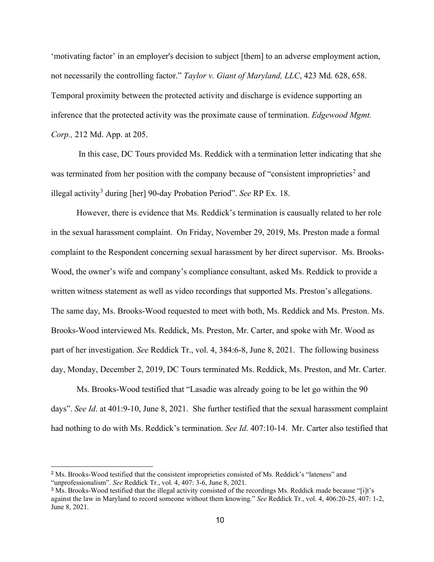'motivating factor' in an employer's decision to subject [them] to an adverse employment action, not necessarily the controlling factor." *Taylor v. Giant of Maryland, LLC*, 423 Md. 628, 658. Temporal proximity between the protected activity and discharge is evidence supporting an inference that the protected activity was the proximate cause of termination. *Edgewood Mgmt. Corp.,* 212 Md. App. at 205.

In this case, DC Tours provided Ms. Reddick with a termination letter indicating that she was terminated from her position with the company because of "consistent improprieties<sup>[2](#page-9-0)</sup> and illegal activity[3](#page-9-1) during [her] 90-day Probation Period". *See* RP Ex. 18.

However, there is evidence that Ms. Reddick's termination is causually related to her role in the sexual harassment complaint. On Friday, November 29, 2019, Ms. Preston made a formal complaint to the Respondent concerning sexual harassment by her direct supervisor. Ms. Brooks-Wood, the owner's wife and company's compliance consultant, asked Ms. Reddick to provide a written witness statement as well as video recordings that supported Ms. Preston's allegations. The same day, Ms. Brooks-Wood requested to meet with both, Ms. Reddick and Ms. Preston. Ms. Brooks-Wood interviewed Ms. Reddick, Ms. Preston, Mr. Carter, and spoke with Mr. Wood as part of her investigation. *See* Reddick Tr., vol. 4, 384:6-8, June 8, 2021. The following business day, Monday, December 2, 2019, DC Tours terminated Ms. Reddick, Ms. Preston, and Mr. Carter.

Ms. Brooks-Wood testified that "Lasadie was already going to be let go within the 90 days". *See Id*. at 401:9-10, June 8, 2021. She further testified that the sexual harassment complaint had nothing to do with Ms. Reddick's termination. *See Id*. 407:10-14. Mr. Carter also testified that

<span id="page-9-0"></span><sup>2</sup> Ms. Brooks-Wood testified that the consistent improprieties consisted of Ms. Reddick's "lateness" and "unprofessionalism". *See* Reddick Tr., vol. 4, 407: 3-6, June 8, 2021.

<span id="page-9-1"></span><sup>&</sup>lt;sup>3</sup> Ms. Brooks-Wood testified that the illegal activity consisted of the recordings Ms. Reddick made because "[i]t's against the law in Maryland to record someone without them knowing." *See* Reddick Tr., vol. 4, 406:20-25, 407: 1-2, June 8, 2021.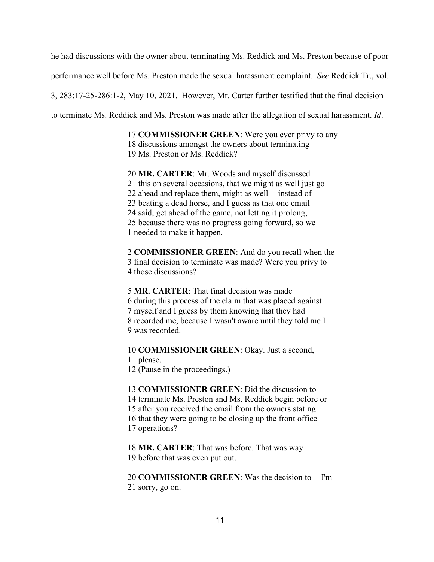he had discussions with the owner about terminating Ms. Reddick and Ms. Preston because of poor

performance well before Ms. Preston made the sexual harassment complaint. *See* Reddick Tr., vol.

3, 283:17-25-286:1-2, May 10, 2021. However, Mr. Carter further testified that the final decision

to terminate Ms. Reddick and Ms. Preston was made after the allegation of sexual harassment. *Id*.

17 **COMMISSIONER GREEN**: Were you ever privy to any 18 discussions amongst the owners about terminating

19 Ms. Preston or Ms. Reddick?

20 **MR. CARTER**: Mr. Woods and myself discussed 21 this on several occasions, that we might as well just go 22 ahead and replace them, might as well -- instead of 23 beating a dead horse, and I guess as that one email 24 said, get ahead of the game, not letting it prolong, 25 because there was no progress going forward, so we 1 needed to make it happen.

2 **COMMISSIONER GREEN**: And do you recall when the 3 final decision to terminate was made? Were you privy to 4 those discussions?

5 **MR. CARTER**: That final decision was made 6 during this process of the claim that was placed against 7 myself and I guess by them knowing that they had 8 recorded me, because I wasn't aware until they told me I 9 was recorded.

10 **COMMISSIONER GREEN**: Okay. Just a second,

11 please.

12 (Pause in the proceedings.)

13 **COMMISSIONER GREEN**: Did the discussion to 14 terminate Ms. Preston and Ms. Reddick begin before or 15 after you received the email from the owners stating 16 that they were going to be closing up the front office 17 operations?

18 **MR. CARTER**: That was before. That was way 19 before that was even put out.

20 **COMMISSIONER GREEN**: Was the decision to -- I'm 21 sorry, go on.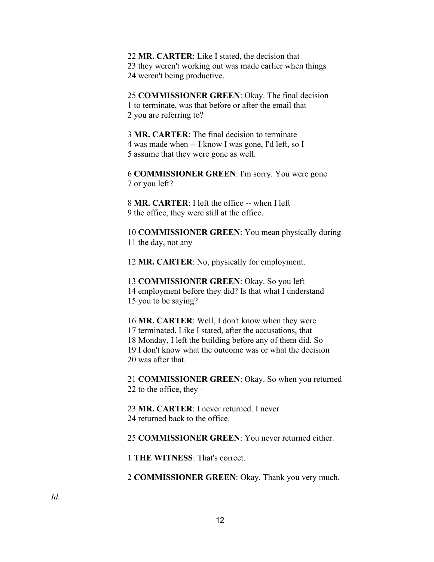22 **MR. CARTER**: Like I stated, the decision that 23 they weren't working out was made earlier when things 24 weren't being productive.

25 **COMMISSIONER GREEN**: Okay. The final decision 1 to terminate, was that before or after the email that 2 you are referring to?

3 **MR. CARTER**: The final decision to terminate 4 was made when -- I know I was gone, I'd left, so I 5 assume that they were gone as well.

6 **COMMISSIONER GREEN**: I'm sorry. You were gone 7 or you left?

8 **MR. CARTER**: I left the office -- when I left 9 the office, they were still at the office.

10 **COMMISSIONER GREEN**: You mean physically during 11 the day, not any  $-$ 

12 **MR. CARTER**: No, physically for employment.

13 **COMMISSIONER GREEN**: Okay. So you left 14 employment before they did? Is that what I understand 15 you to be saying?

16 **MR. CARTER**: Well, I don't know when they were 17 terminated. Like I stated, after the accusations, that 18 Monday, I left the building before any of them did. So 19 I don't know what the outcome was or what the decision 20 was after that.

21 **COMMISSIONER GREEN**: Okay. So when you returned 22 to the office, they  $-$ 

23 **MR. CARTER**: I never returned. I never 24 returned back to the office.

25 **COMMISSIONER GREEN**: You never returned either.

1 **THE WITNESS**: That's correct.

2 **COMMISSIONER GREEN**: Okay. Thank you very much.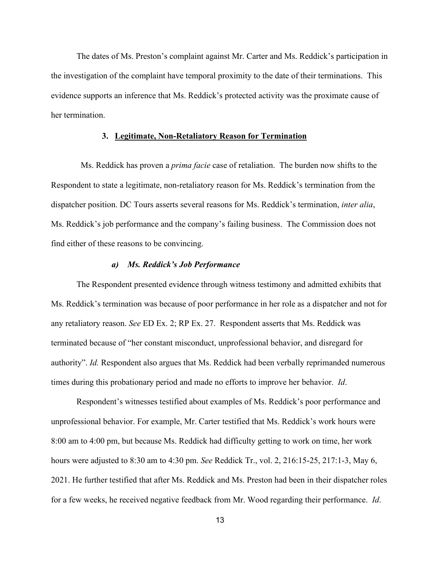The dates of Ms. Preston's complaint against Mr. Carter and Ms. Reddick's participation in the investigation of the complaint have temporal proximity to the date of their terminations. This evidence supports an inference that Ms. Reddick's protected activity was the proximate cause of her termination.

#### **3. Legitimate, Non-Retaliatory Reason for Termination**

 Ms. Reddick has proven a *prima facie* case of retaliation. The burden now shifts to the Respondent to state a legitimate, non-retaliatory reason for Ms. Reddick's termination from the dispatcher position. DC Tours asserts several reasons for Ms. Reddick's termination, *inter alia*, Ms. Reddick's job performance and the company's failing business. The Commission does not find either of these reasons to be convincing.

### *a) Ms. Reddick's Job Performance*

The Respondent presented evidence through witness testimony and admitted exhibits that Ms. Reddick's termination was because of poor performance in her role as a dispatcher and not for any retaliatory reason. *See* ED Ex. 2; RP Ex. 27. Respondent asserts that Ms. Reddick was terminated because of "her constant misconduct, unprofessional behavior, and disregard for authority". *Id.* Respondent also argues that Ms. Reddick had been verbally reprimanded numerous times during this probationary period and made no efforts to improve her behavior. *Id*.

Respondent's witnesses testified about examples of Ms. Reddick's poor performance and unprofessional behavior. For example, Mr. Carter testified that Ms. Reddick's work hours were 8:00 am to 4:00 pm, but because Ms. Reddick had difficulty getting to work on time, her work hours were adjusted to 8:30 am to 4:30 pm. *See* Reddick Tr., vol. 2, 216:15-25, 217:1-3, May 6, 2021. He further testified that after Ms. Reddick and Ms. Preston had been in their dispatcher roles for a few weeks, he received negative feedback from Mr. Wood regarding their performance. *Id*.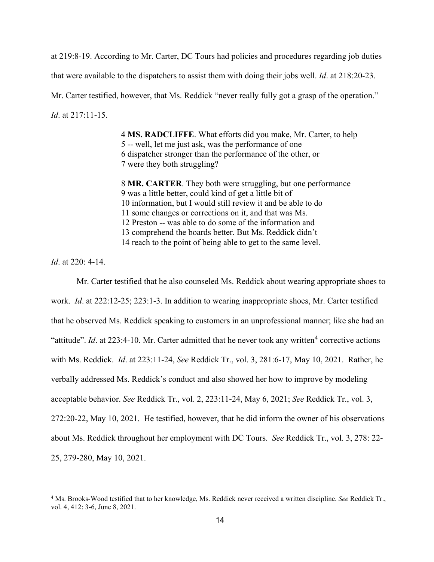at 219:8-19. According to Mr. Carter, DC Tours had policies and procedures regarding job duties that were available to the dispatchers to assist them with doing their jobs well. *Id*. at 218:20-23. Mr. Carter testified, however, that Ms. Reddick "never really fully got a grasp of the operation." *Id*. at 217:11-15.

> 4 **MS. RADCLIFFE**. What efforts did you make, Mr. Carter, to help 5 -- well, let me just ask, was the performance of one 6 dispatcher stronger than the performance of the other, or 7 were they both struggling?

8 **MR. CARTER**. They both were struggling, but one performance 9 was a little better, could kind of get a little bit of 10 information, but I would still review it and be able to do 11 some changes or corrections on it, and that was Ms. 12 Preston -- was able to do some of the information and 13 comprehend the boards better. But Ms. Reddick didn't 14 reach to the point of being able to get to the same level.

*Id*. at 220: 4-14.

Mr. Carter testified that he also counseled Ms. Reddick about wearing appropriate shoes to work. *Id*. at 222:12-25; 223:1-3. In addition to wearing inappropriate shoes, Mr. Carter testified that he observed Ms. Reddick speaking to customers in an unprofessional manner; like she had an "attitude". *Id.* at 223:[4](#page-13-0)-10. Mr. Carter admitted that he never took any written<sup>4</sup> corrective actions with Ms. Reddick. *Id*. at 223:11-24, *See* Reddick Tr., vol. 3, 281:6-17, May 10, 2021. Rather, he verbally addressed Ms. Reddick's conduct and also showed her how to improve by modeling acceptable behavior. *See* Reddick Tr., vol. 2, 223:11-24, May 6, 2021; *See* Reddick Tr., vol. 3, 272:20-22, May 10, 2021. He testified, however, that he did inform the owner of his observations about Ms. Reddick throughout her employment with DC Tours. *See* Reddick Tr., vol. 3, 278: 22- 25, 279-280, May 10, 2021.

<span id="page-13-0"></span><sup>4</sup> Ms. Brooks-Wood testified that to her knowledge, Ms. Reddick never received a written discipline. *See* Reddick Tr., vol. 4, 412: 3-6, June 8, 2021.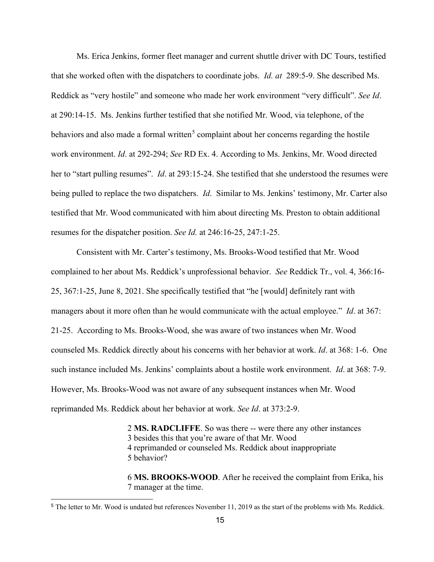Ms. Erica Jenkins, former fleet manager and current shuttle driver with DC Tours, testified that she worked often with the dispatchers to coordinate jobs. *Id. at* 289:5-9. She described Ms. Reddick as "very hostile" and someone who made her work environment "very difficult". *See Id*. at 290:14-15. Ms. Jenkins further testified that she notified Mr. Wood, via telephone, of the behaviors and also made a formal written<sup>[5](#page-14-0)</sup> complaint about her concerns regarding the hostile work environment. *Id*. at 292-294; *See* RD Ex. 4. According to Ms. Jenkins, Mr. Wood directed her to "start pulling resumes". *Id*. at 293:15-24. She testified that she understood the resumes were being pulled to replace the two dispatchers. *Id*. Similar to Ms. Jenkins' testimony, Mr. Carter also testified that Mr. Wood communicated with him about directing Ms. Preston to obtain additional resumes for the dispatcher position. *See Id.* at 246:16-25, 247:1-25.

Consistent with Mr. Carter's testimony, Ms. Brooks-Wood testified that Mr. Wood complained to her about Ms. Reddick's unprofessional behavior. *See* Reddick Tr., vol. 4, 366:16- 25, 367:1-25, June 8, 2021. She specifically testified that "he [would] definitely rant with managers about it more often than he would communicate with the actual employee." *Id*. at 367: 21-25. According to Ms. Brooks-Wood, she was aware of two instances when Mr. Wood counseled Ms. Reddick directly about his concerns with her behavior at work. *Id*. at 368: 1-6. One such instance included Ms. Jenkins' complaints about a hostile work environment. *Id*. at 368: 7-9. However, Ms. Brooks-Wood was not aware of any subsequent instances when Mr. Wood reprimanded Ms. Reddick about her behavior at work. *See Id*. at 373:2-9.

> 2 **MS. RADCLIFFE**. So was there -- were there any other instances 3 besides this that you're aware of that Mr. Wood 4 reprimanded or counseled Ms. Reddick about inappropriate 5 behavior?

6 **MS. BROOKS-WOOD**. After he received the complaint from Erika, his 7 manager at the time.

<span id="page-14-0"></span><sup>5</sup> The letter to Mr. Wood is undated but references November 11, 2019 as the start of the problems with Ms. Reddick.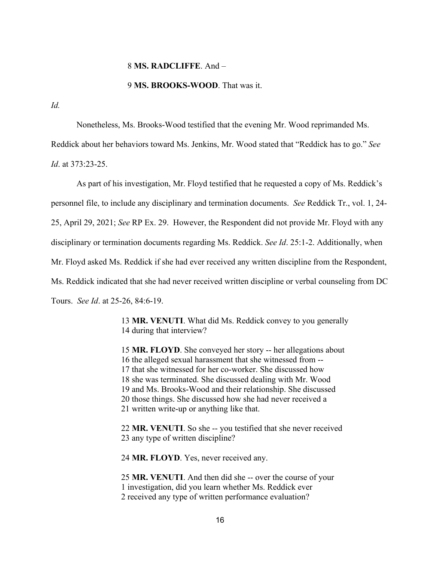#### 8 **MS. RADCLIFFE**. And –

#### 9 **MS. BROOKS-WOOD**. That was it.

*Id.*

Nonetheless, Ms. Brooks-Wood testified that the evening Mr. Wood reprimanded Ms.

Reddick about her behaviors toward Ms. Jenkins, Mr. Wood stated that "Reddick has to go." *See*

*Id*. at 373:23-25.

As part of his investigation, Mr. Floyd testified that he requested a copy of Ms. Reddick's personnel file, to include any disciplinary and termination documents. *See* Reddick Tr., vol. 1, 24- 25, April 29, 2021; *See* RP Ex. 29. However, the Respondent did not provide Mr. Floyd with any disciplinary or termination documents regarding Ms. Reddick. *See Id*. 25:1-2. Additionally, when Mr. Floyd asked Ms. Reddick if she had ever received any written discipline from the Respondent, Ms. Reddick indicated that she had never received written discipline or verbal counseling from DC Tours. *See Id*. at 25-26, 84:6-19.

> 13 **MR. VENUTI**. What did Ms. Reddick convey to you generally 14 during that interview?

15 **MR. FLOYD**. She conveyed her story -- her allegations about 16 the alleged sexual harassment that she witnessed from -- 17 that she witnessed for her co-worker. She discussed how 18 she was terminated. She discussed dealing with Mr. Wood 19 and Ms. Brooks-Wood and their relationship. She discussed 20 those things. She discussed how she had never received a 21 written write-up or anything like that.

22 **MR. VENUTI**. So she -- you testified that she never received 23 any type of written discipline?

24 **MR. FLOYD**. Yes, never received any.

25 **MR. VENUTI**. And then did she -- over the course of your 1 investigation, did you learn whether Ms. Reddick ever 2 received any type of written performance evaluation?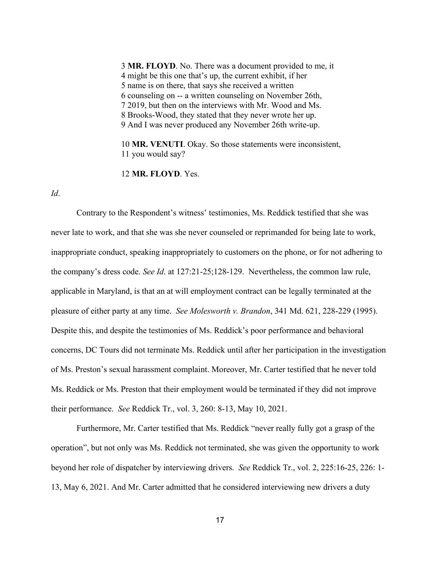3 **MR. FLOYD**. No. There was a document provided to me, it 4 might be this one that's up, the current exhibit, if her 5 name is on there, that says she received a written 6 counseling on -- a written counseling on November 26th, 7 2019, but then on the interviews with Mr. Wood and Ms. 8 Brooks-Wood, they stated that they never wrote her up. 9 And I was never produced any November 26th write-up.

10 **MR. VENUTI**. Okay. So those statements were inconsistent, 11 you would say?

12 **MR. FLOYD**. Yes.

*Id*.

Contrary to the Respondent's witness' testimonies, Ms. Reddick testified that she was never late to work, and that she was she never counseled or reprimanded for being late to work, inappropriate conduct, speaking inappropriately to customers on the phone, or for not adhering to the company's dress code. *See Id*. at 127:21-25;128-129. Nevertheless, the common law rule, applicable in Maryland, is that an at will employment contract can be legally terminated at the pleasure of either party at any time. *See Molesworth v. Brandon*, 341 Md. 621, 228-229 (1995). Despite this, and despite the testimonies of Ms. Reddick's poor performance and behavioral concerns, DC Tours did not terminate Ms. Reddick until after her participation in the investigation of Ms. Preston's sexual harassment complaint. Moreover, Mr. Carter testified that he never told Ms. Reddick or Ms. Preston that their employment would be terminated if they did not improve their performance. *See* Reddick Tr., vol. 3, 260: 8-13, May 10, 2021.

Furthermore, Mr. Carter testified that Ms. Reddick "never really fully got a grasp of the operation", but not only was Ms. Reddick not terminated, she was given the opportunity to work beyond her role of dispatcher by interviewing drivers.*See* Reddick Tr., vol. 2, 225:16-25, 226: 1- 13, May 6, 2021. And Mr. Carter admitted that he considered interviewing new drivers a duty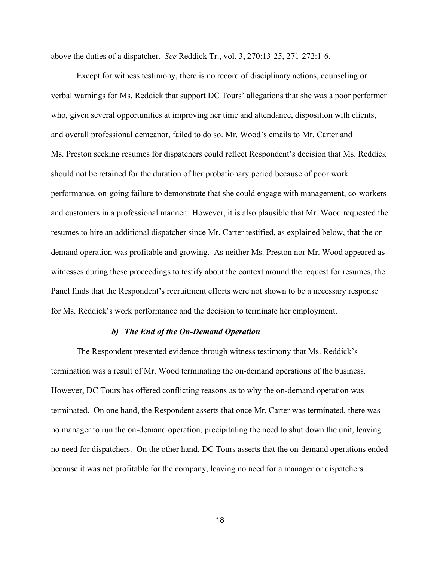above the duties of a dispatcher. *See* Reddick Tr., vol. 3, 270:13-25, 271-272:1-6.

Except for witness testimony, there is no record of disciplinary actions, counseling or verbal warnings for Ms. Reddick that support DC Tours' allegations that she was a poor performer who, given several opportunities at improving her time and attendance, disposition with clients, and overall professional demeanor, failed to do so. Mr. Wood's emails to Mr. Carter and Ms. Preston seeking resumes for dispatchers could reflect Respondent's decision that Ms. Reddick should not be retained for the duration of her probationary period because of poor work performance, on-going failure to demonstrate that she could engage with management, co-workers and customers in a professional manner. However, it is also plausible that Mr. Wood requested the resumes to hire an additional dispatcher since Mr. Carter testified, as explained below, that the ondemand operation was profitable and growing. As neither Ms. Preston nor Mr. Wood appeared as witnesses during these proceedings to testify about the context around the request for resumes, the Panel finds that the Respondent's recruitment efforts were not shown to be a necessary response for Ms. Reddick's work performance and the decision to terminate her employment.

### *b) The End of the On-Demand Operation*

The Respondent presented evidence through witness testimony that Ms. Reddick's termination was a result of Mr. Wood terminating the on-demand operations of the business. However, DC Tours has offered conflicting reasons as to why the on-demand operation was terminated. On one hand, the Respondent asserts that once Mr. Carter was terminated, there was no manager to run the on-demand operation, precipitating the need to shut down the unit, leaving no need for dispatchers. On the other hand, DC Tours asserts that the on-demand operations ended because it was not profitable for the company, leaving no need for a manager or dispatchers.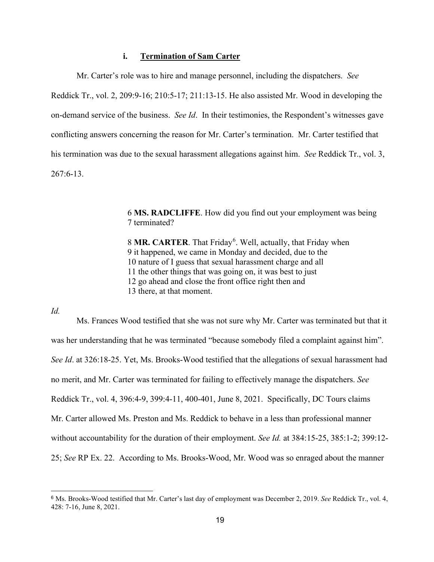# **i. Termination of Sam Carter**

Mr. Carter's role was to hire and manage personnel, including the dispatchers. *See* Reddick Tr., vol. 2, 209:9-16; 210:5-17; 211:13-15. He also assisted Mr. Wood in developing the on-demand service of the business. *See Id*. In their testimonies, the Respondent's witnesses gave conflicting answers concerning the reason for Mr. Carter's termination. Mr. Carter testified that his termination was due to the sexual harassment allegations against him. *See* Reddick Tr., vol. 3, 267:6-13.

> 6 **MS. RADCLIFFE**. How did you find out your employment was being 7 terminated?

8 MR. CARTER. That Friday<sup>[6](#page-18-0)</sup>. Well, actually, that Friday when 9 it happened, we came in Monday and decided, due to the 10 nature of I guess that sexual harassment charge and all 11 the other things that was going on, it was best to just 12 go ahead and close the front office right then and 13 there, at that moment.

*Id.*

Ms. Frances Wood testified that she was not sure why Mr. Carter was terminated but that it was her understanding that he was terminated "because somebody filed a complaint against him". *See Id*. at 326:18-25. Yet, Ms. Brooks-Wood testified that the allegations of sexual harassment had no merit, and Mr. Carter was terminated for failing to effectively manage the dispatchers. *See* Reddick Tr., vol. 4, 396:4-9, 399:4-11, 400-401, June 8, 2021. Specifically, DC Tours claims Mr. Carter allowed Ms. Preston and Ms. Reddick to behave in a less than professional manner without accountability for the duration of their employment. *See Id.* at 384:15-25, 385:1-2; 399:12- 25; *See* RP Ex. 22. According to Ms. Brooks-Wood, Mr. Wood was so enraged about the manner

<span id="page-18-0"></span><sup>6</sup> Ms. Brooks-Wood testified that Mr. Carter's last day of employment was December 2, 2019. *See* Reddick Tr., vol. 4, 428: 7-16, June 8, 2021.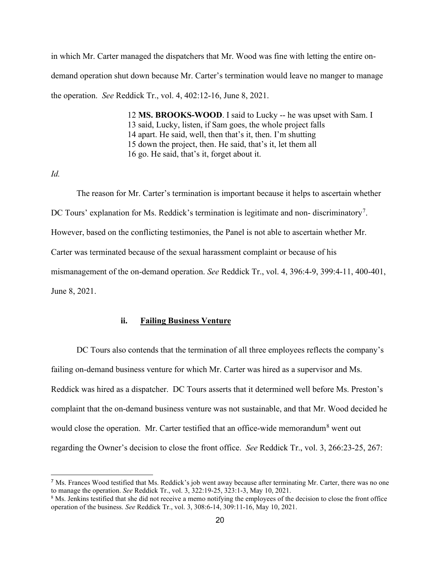in which Mr. Carter managed the dispatchers that Mr. Wood was fine with letting the entire ondemand operation shut down because Mr. Carter's termination would leave no manger to manage the operation. *See* Reddick Tr., vol. 4, 402:12-16, June 8, 2021.

> 12 **MS. BROOKS-WOOD**. I said to Lucky -- he was upset with Sam. I 13 said, Lucky, listen, if Sam goes, the whole project falls 14 apart. He said, well, then that's it, then. I'm shutting 15 down the project, then. He said, that's it, let them all 16 go. He said, that's it, forget about it.

*Id.*

The reason for Mr. Carter's termination is important because it helps to ascertain whether DC Tours' explanation for Ms. Reddick's termination is legitimate and non-discriminatory<sup>[7](#page-19-0)</sup>. However, based on the conflicting testimonies, the Panel is not able to ascertain whether Mr. Carter was terminated because of the sexual harassment complaint or because of his mismanagement of the on-demand operation. *See* Reddick Tr., vol. 4, 396:4-9, 399:4-11, 400-401, June 8, 2021.

## **ii. Failing Business Venture**

DC Tours also contends that the termination of all three employees reflects the company's failing on-demand business venture for which Mr. Carter was hired as a supervisor and Ms. Reddick was hired as a dispatcher. DC Tours asserts that it determined well before Ms. Preston's complaint that the on-demand business venture was not sustainable, and that Mr. Wood decided he would close the operation. Mr. Carter testified that an office-wide memorandum<sup>[8](#page-19-1)</sup> went out regarding the Owner's decision to close the front office. *See* Reddick Tr., vol. 3, 266:23-25, 267:

<span id="page-19-0"></span><sup>7</sup> Ms. Frances Wood testified that Ms. Reddick's job went away because after terminating Mr. Carter, there was no one to manage the operation. *See* Reddick Tr., vol. 3, 322:19-25, 323:1-3, May 10, 2021.

<span id="page-19-1"></span><sup>&</sup>lt;sup>8</sup> Ms. Jenkins testified that she did not receive a memo notifying the employees of the decision to close the front office operation of the business. *See* Reddick Tr., vol. 3, 308:6-14, 309:11-16, May 10, 2021.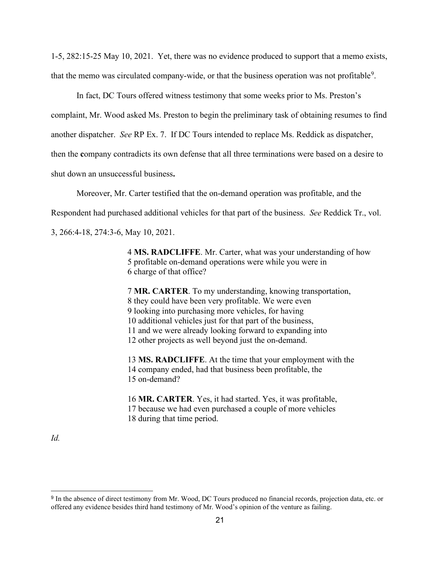1-5, 282:15-25 May 10, 2021. Yet, there was no evidence produced to support that a memo exists, that the memo was circulated company-wide, or that the business operation was not profitable<sup>[9](#page-20-0)</sup>.

In fact, DC Tours offered witness testimony that some weeks prior to Ms. Preston's complaint, Mr. Wood asked Ms. Preston to begin the preliminary task of obtaining resumes to find another dispatcher. *See* RP Ex. 7. If DC Tours intended to replace Ms. Reddick as dispatcher, then the **c**ompany contradicts its own defense that all three terminations were based on a desire to shut down an unsuccessful business**.** 

Moreover, Mr. Carter testified that the on-demand operation was profitable, and the

Respondent had purchased additional vehicles for that part of the business. *See* Reddick Tr., vol.

3, 266:4-18, 274:3-6, May 10, 2021.

4 **MS. RADCLIFFE**. Mr. Carter, what was your understanding of how 5 profitable on-demand operations were while you were in 6 charge of that office?

7 **MR. CARTER**. To my understanding, knowing transportation, 8 they could have been very profitable. We were even 9 looking into purchasing more vehicles, for having 10 additional vehicles just for that part of the business, 11 and we were already looking forward to expanding into 12 other projects as well beyond just the on-demand.

13 **MS. RADCLIFFE**. At the time that your employment with the 14 company ended, had that business been profitable, the 15 on-demand?

16 **MR. CARTER**. Yes, it had started. Yes, it was profitable, 17 because we had even purchased a couple of more vehicles 18 during that time period.

*Id.*

<span id="page-20-0"></span><sup>&</sup>lt;sup>9</sup> In the absence of direct testimony from Mr. Wood, DC Tours produced no financial records, projection data, etc. or offered any evidence besides third hand testimony of Mr. Wood's opinion of the venture as failing.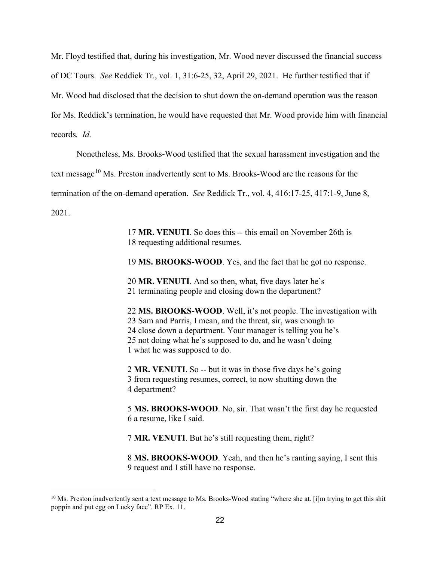Mr. Floyd testified that, during his investigation, Mr. Wood never discussed the financial success of DC Tours. *See* Reddick Tr., vol. 1, 31:6-25, 32, April 29, 2021. He further testified that if Mr. Wood had disclosed that the decision to shut down the on-demand operation was the reason for Ms. Reddick's termination, he would have requested that Mr. Wood provide him with financial records*. Id.*

Nonetheless, Ms. Brooks-Wood testified that the sexual harassment investigation and the

text message<sup>[10](#page-21-0)</sup> Ms. Preston inadvertently sent to Ms. Brooks-Wood are the reasons for the

termination of the on-demand operation. *See* Reddick Tr., vol. 4, 416:17-25, 417:1-9, June 8,

2021.

17 **MR. VENUTI**. So does this -- this email on November 26th is 18 requesting additional resumes.

19 **MS. BROOKS-WOOD**. Yes, and the fact that he got no response.

20 **MR. VENUTI**. And so then, what, five days later he's 21 terminating people and closing down the department?

22 **MS. BROOKS-WOOD**. Well, it's not people. The investigation with 23 Sam and Parris, I mean, and the threat, sir, was enough to 24 close down a department. Your manager is telling you he's 25 not doing what he's supposed to do, and he wasn't doing 1 what he was supposed to do.

2 **MR. VENUTI**. So -- but it was in those five days he's going 3 from requesting resumes, correct, to now shutting down the 4 department?

5 **MS. BROOKS-WOOD**. No, sir. That wasn't the first day he requested 6 a resume, like I said.

7 **MR. VENUTI**. But he's still requesting them, right?

8 **MS. BROOKS-WOOD**. Yeah, and then he's ranting saying, I sent this 9 request and I still have no response.

<span id="page-21-0"></span> $10$  Ms. Preston inadvertently sent a text message to Ms. Brooks-Wood stating "where she at. [i]m trying to get this shit poppin and put egg on Lucky face". RP Ex. 11.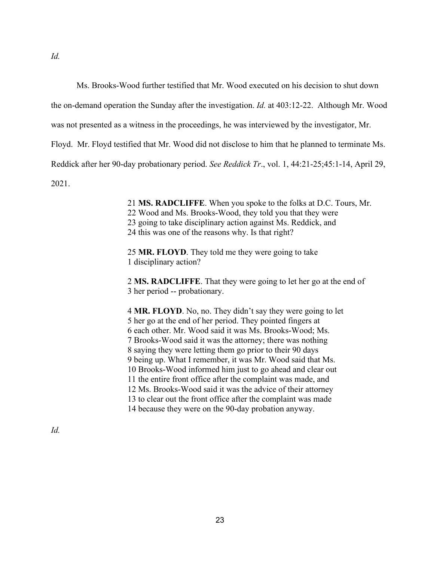Ms. Brooks-Wood further testified that Mr. Wood executed on his decision to shut down

the on-demand operation the Sunday after the investigation. *Id.* at 403:12-22. Although Mr. Wood

was not presented as a witness in the proceedings, he was interviewed by the investigator, Mr.

Floyd. Mr. Floyd testified that Mr. Wood did not disclose to him that he planned to terminate Ms.

Reddick after her 90-day probationary period. *See Reddick Tr*., vol. 1, 44:21-25;45:1-14, April 29,

2021.

21 **MS. RADCLIFFE**. When you spoke to the folks at D.C. Tours, Mr.

22 Wood and Ms. Brooks-Wood, they told you that they were

23 going to take disciplinary action against Ms. Reddick, and

24 this was one of the reasons why. Is that right?

25 **MR. FLOYD**. They told me they were going to take 1 disciplinary action?

2 **MS. RADCLIFFE**. That they were going to let her go at the end of 3 her period -- probationary.

4 **MR. FLOYD**. No, no. They didn't say they were going to let 5 her go at the end of her period. They pointed fingers at 6 each other. Mr. Wood said it was Ms. Brooks-Wood; Ms. 7 Brooks-Wood said it was the attorney; there was nothing 8 saying they were letting them go prior to their 90 days 9 being up. What I remember, it was Mr. Wood said that Ms. 10 Brooks-Wood informed him just to go ahead and clear out 11 the entire front office after the complaint was made, and 12 Ms. Brooks-Wood said it was the advice of their attorney 13 to clear out the front office after the complaint was made 14 because they were on the 90-day probation anyway.

*Id.*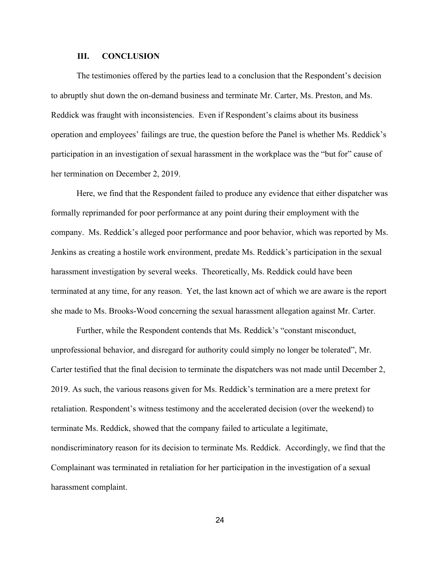#### **III. CONCLUSION**

The testimonies offered by the parties lead to a conclusion that the Respondent's decision to abruptly shut down the on-demand business and terminate Mr. Carter, Ms. Preston, and Ms. Reddick was fraught with inconsistencies. Even if Respondent's claims about its business operation and employees' failings are true, the question before the Panel is whether Ms. Reddick's participation in an investigation of sexual harassment in the workplace was the "but for" cause of her termination on December 2, 2019.

Here, we find that the Respondent failed to produce any evidence that either dispatcher was formally reprimanded for poor performance at any point during their employment with the company. Ms. Reddick's alleged poor performance and poor behavior, which was reported by Ms. Jenkins as creating a hostile work environment, predate Ms. Reddick's participation in the sexual harassment investigation by several weeks. Theoretically, Ms. Reddick could have been terminated at any time, for any reason. Yet, the last known act of which we are aware is the report she made to Ms. Brooks-Wood concerning the sexual harassment allegation against Mr. Carter.

Further, while the Respondent contends that Ms. Reddick's "constant misconduct, unprofessional behavior, and disregard for authority could simply no longer be tolerated", Mr. Carter testified that the final decision to terminate the dispatchers was not made until December 2, 2019. As such, the various reasons given for Ms. Reddick's termination are a mere pretext for retaliation. Respondent's witness testimony and the accelerated decision (over the weekend) to terminate Ms. Reddick, showed that the company failed to articulate a legitimate, nondiscriminatory reason for its decision to terminate Ms. Reddick. Accordingly, we find that the Complainant was terminated in retaliation for her participation in the investigation of a sexual harassment complaint.

24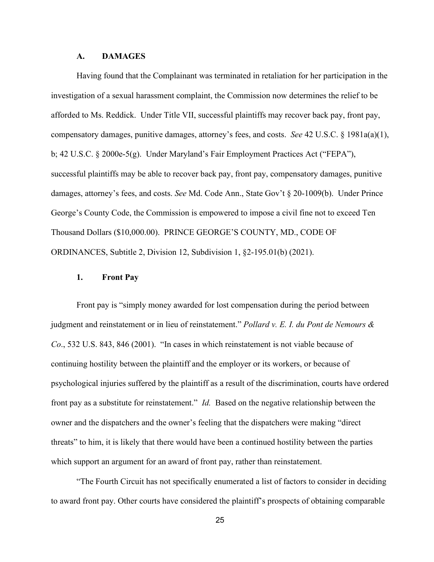### **A. DAMAGES**

Having found that the Complainant was terminated in retaliation for her participation in the investigation of a sexual harassment complaint, the Commission now determines the relief to be afforded to Ms. Reddick. Under Title VII, successful plaintiffs may recover back pay, front pay, compensatory damages, punitive damages, attorney's fees, and costs. *See* 42 U.S.C. § 1981a(a)(1), b; 42 U.S.C. § 2000e-5(g). Under Maryland's Fair Employment Practices Act ("FEPA"), successful plaintiffs may be able to recover back pay, front pay, compensatory damages, punitive damages, attorney's fees, and costs. *See* Md. Code Ann., State Gov't § 20-1009(b). Under Prince George's County Code, the Commission is empowered to impose a civil fine not to exceed Ten Thousand Dollars (\$10,000.00). PRINCE GEORGE'S COUNTY, MD., CODE OF ORDINANCES, Subtitle 2, Division 12, Subdivision 1, §2-195.01(b) (2021).

## **1. Front Pay**

Front pay is "simply money awarded for lost compensation during the period between judgment and reinstatement or in lieu of reinstatement." *Pollard v. E. I. du Pont de Nemours & Co*., 532 U.S. 843, 846 (2001). "In cases in which reinstatement is not viable because of continuing hostility between the plaintiff and the employer or its workers, or because of psychological injuries suffered by the plaintiff as a result of the discrimination, courts have ordered front pay as a substitute for reinstatement." *Id.* Based on the negative relationship between the owner and the dispatchers and the owner's feeling that the dispatchers were making "direct threats" to him, it is likely that there would have been a continued hostility between the parties which support an argument for an award of front pay, rather than reinstatement.

"The Fourth Circuit has not specifically enumerated a list of factors to consider in deciding to award front pay. Other courts have considered the plaintiff's prospects of obtaining comparable

25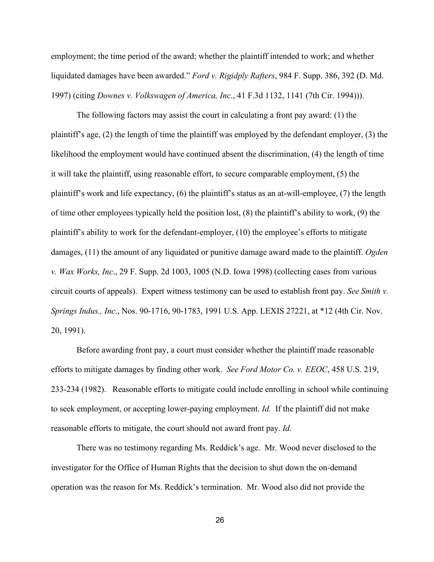employment; the time period of the award; whether the plaintiff intended to work; and whether liquidated damages have been awarded." *Ford v. Rigidply Rafters*, 984 F. Supp. 386, 392 (D. Md. 1997) (citing *Downes v. Volkswagen of America, Inc*., 41 F.3d 1132, 1141 (7th Cir. 1994))).

The following factors may assist the court in calculating a front pay award: (1) the plaintiff's age, (2) the length of time the plaintiff was employed by the defendant employer, (3) the likelihood the employment would have continued absent the discrimination, (4) the length of time it will take the plaintiff, using reasonable effort, to secure comparable employment, (5) the plaintiff's work and life expectancy, (6) the plaintiff's status as an at-will-employee, (7) the length of time other employees typically held the position lost, (8) the plaintiff's ability to work, (9) the plaintiff's ability to work for the defendant-employer, (10) the employee's efforts to mitigate damages, (11) the amount of any liquidated or punitive damage award made to the plaintiff. *Ogden v. Wax Works, Inc*., 29 F. Supp. 2d 1003, 1005 (N.D. Iowa 1998) (collecting cases from various circuit courts of appeals). Expert witness testimony can be used to establish front pay. *See Smith v. Springs Indus., Inc*., Nos. 90-1716, 90-1783, 1991 U.S. App. LEXIS 27221, at \*12 (4th Cir. Nov. 20, 1991).

Before awarding front pay, a court must consider whether the plaintiff made reasonable efforts to mitigate damages by finding other work. *See Ford Motor Co. v. EEOC*, 458 U.S. 219, 233-234 (1982). Reasonable efforts to mitigate could include enrolling in school while continuing to seek employment, or accepting lower-paying employment. *Id.* If the plaintiff did not make reasonable efforts to mitigate, the court should not award front pay. *Id.*

There was no testimony regarding Ms. Reddick's age. Mr. Wood never disclosed to the investigator for the Office of Human Rights that the decision to shut down the on-demand operation was the reason for Ms. Reddick's termination. Mr. Wood also did not provide the

26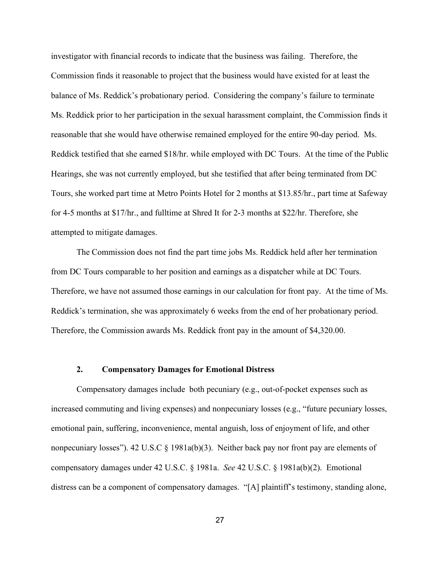investigator with financial records to indicate that the business was failing. Therefore, the Commission finds it reasonable to project that the business would have existed for at least the balance of Ms. Reddick's probationary period. Considering the company's failure to terminate Ms. Reddick prior to her participation in the sexual harassment complaint, the Commission finds it reasonable that she would have otherwise remained employed for the entire 90-day period. Ms. Reddick testified that she earned \$18/hr. while employed with DC Tours. At the time of the Public Hearings, she was not currently employed, but she testified that after being terminated from DC Tours, she worked part time at Metro Points Hotel for 2 months at \$13.85/hr., part time at Safeway for 4-5 months at \$17/hr., and fulltime at Shred It for 2-3 months at \$22/hr. Therefore, she attempted to mitigate damages.

The Commission does not find the part time jobs Ms. Reddick held after her termination from DC Tours comparable to her position and earnings as a dispatcher while at DC Tours. Therefore, we have not assumed those earnings in our calculation for front pay. At the time of Ms. Reddick's termination, she was approximately 6 weeks from the end of her probationary period. Therefore, the Commission awards Ms. Reddick front pay in the amount of \$4,320.00.

#### **2. Compensatory Damages for Emotional Distress**

Compensatory damages include both pecuniary (e.g., out-of-pocket expenses such as increased commuting and living expenses) and nonpecuniary losses (e.g., "future pecuniary losses, emotional pain, suffering, inconvenience, mental anguish, loss of enjoyment of life, and other nonpecuniary losses"). 42 U.S.C § 1981a(b)(3). Neither back pay nor front pay are elements of compensatory damages under 42 U.S.C. § 1981a. *See* 42 U.S.C. § 1981a(b)(2). Emotional distress can be a component of compensatory damages. "[A] plaintiff's testimony, standing alone,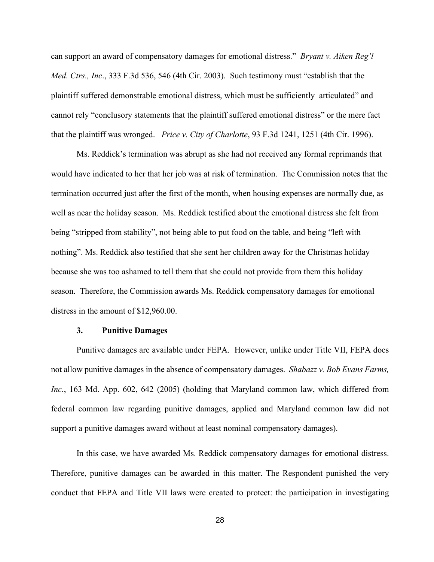can support an award of compensatory damages for emotional distress." *Bryant v. Aiken Reg'l Med. Ctrs., Inc*., 333 F.3d 536, 546 (4th Cir. 2003). Such testimony must "establish that the plaintiff suffered demonstrable emotional distress, which must be sufficiently articulated" and cannot rely "conclusory statements that the plaintiff suffered emotional distress" or the mere fact that the plaintiff was wronged. *Price v. City of Charlotte*, 93 F.3d 1241, 1251 (4th Cir. 1996).

Ms. Reddick's termination was abrupt as she had not received any formal reprimands that would have indicated to her that her job was at risk of termination. The Commission notes that the termination occurred just after the first of the month, when housing expenses are normally due, as well as near the holiday season. Ms. Reddick testified about the emotional distress she felt from being "stripped from stability", not being able to put food on the table, and being "left with nothing". Ms. Reddick also testified that she sent her children away for the Christmas holiday because she was too ashamed to tell them that she could not provide from them this holiday season. Therefore, the Commission awards Ms. Reddick compensatory damages for emotional distress in the amount of \$12,960.00.

#### **3. Punitive Damages**

Punitive damages are available under FEPA. However, unlike under Title VII, FEPA does not allow punitive damages in the absence of compensatory damages. *Shabazz v. Bob [Evans Farms,](https://plus.lexis.com/api/document/collection/cases/id/4H17-DYB0-0039-443T-00000-00?cite=163%20Md.%20App.%20602&context=1530671) Inc.*[, 163 Md. App. 602, 642 \(2005\)](https://plus.lexis.com/api/document/collection/cases/id/4H17-DYB0-0039-443T-00000-00?cite=163%20Md.%20App.%20602&context=1530671) (holding that Maryland common law, which differed from federal common law regarding punitive damages, applied and Maryland common law did not support a punitive damages award without at least nominal compensatory damages).

In this case, we have awarded Ms. Reddick compensatory damages for emotional distress. Therefore, punitive damages can be awarded in this matter. The Respondent punished the very conduct that FEPA and Title VII laws were created to protect: the participation in investigating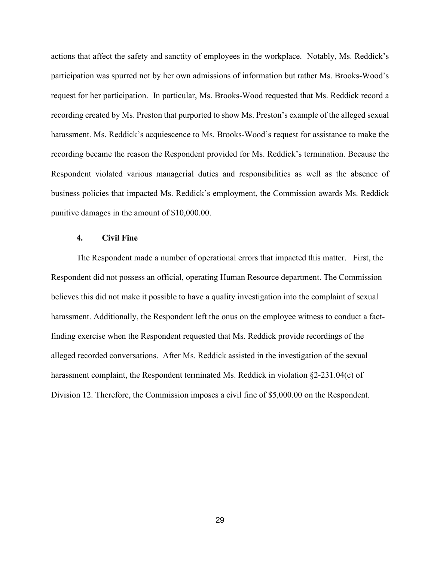actions that affect the safety and sanctity of employees in the workplace. Notably, Ms. Reddick's participation was spurred not by her own admissions of information but rather Ms. Brooks-Wood's request for her participation. In particular, Ms. Brooks-Wood requested that Ms. Reddick record a recording created by Ms. Preston that purported to show Ms. Preston's example of the alleged sexual harassment. Ms. Reddick's acquiescence to Ms. Brooks-Wood's request for assistance to make the recording became the reason the Respondent provided for Ms. Reddick's termination. Because the Respondent violated various managerial duties and responsibilities as well as the absence of business policies that impacted Ms. Reddick's employment, the Commission awards Ms. Reddick punitive damages in the amount of \$10,000.00.

## **4. Civil Fine**

The Respondent made a number of operational errors that impacted this matter. First, the Respondent did not possess an official, operating Human Resource department. The Commission believes this did not make it possible to have a quality investigation into the complaint of sexual harassment. Additionally, the Respondent left the onus on the employee witness to conduct a factfinding exercise when the Respondent requested that Ms. Reddick provide recordings of the alleged recorded conversations. After Ms. Reddick assisted in the investigation of the sexual harassment complaint, the Respondent terminated Ms. Reddick in violation §2-231.04(c) of Division 12. Therefore, the Commission imposes a civil fine of \$5,000.00 on the Respondent.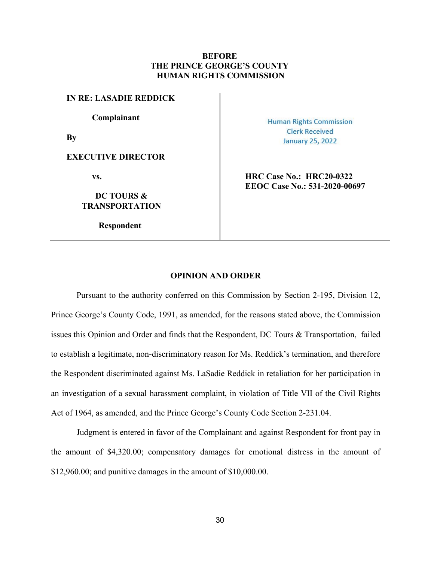# **BEFORE THE PRINCE GEORGE'S COUNTY HUMAN RIGHTS COMMISSION**

**IN RE: LASADIE REDDICK**

**Complainant**

**By**

**EXECUTIVE DIRECTOR**

**DC TOURS & TRANSPORTATION**

**Respondent**

**Human Rights Commission Clerk Received January 25, 2022** 

**vs. HRC** Case No.: **HRC20-0322 EEOC Case No.: 531-2020-00697**

#### **OPINION AND ORDER**

Pursuant to the authority conferred on this Commission by Section 2-195, Division 12, Prince George's County Code, 1991, as amended, for the reasons stated above, the Commission issues this Opinion and Order and finds that the Respondent, DC Tours & Transportation, failed to establish a legitimate, non-discriminatory reason for Ms. Reddick's termination, and therefore the Respondent discriminated against Ms. LaSadie Reddick in retaliation for her participation in an investigation of a sexual harassment complaint, in violation of Title VII of the Civil Rights Act of 1964, as amended, and the Prince George's County Code Section 2-231.04.

Judgment is entered in favor of the Complainant and against Respondent for front pay in the amount of \$4,320.00; compensatory damages for emotional distress in the amount of \$12,960.00; and punitive damages in the amount of \$10,000.00.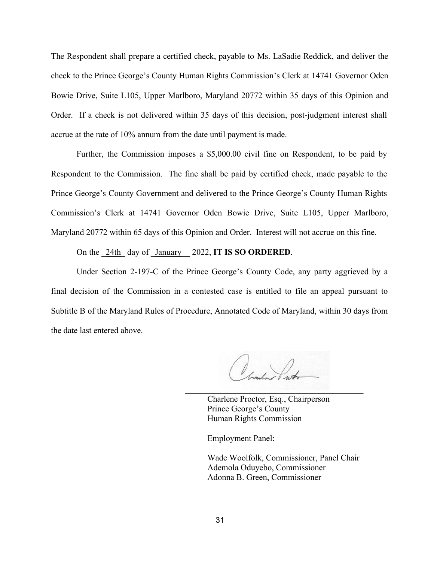The Respondent shall prepare a certified check, payable to Ms. LaSadie Reddick, and deliver the check to the Prince George's County Human Rights Commission's Clerk at 14741 Governor Oden Bowie Drive, Suite L105, Upper Marlboro, Maryland 20772 within 35 days of this Opinion and Order. If a check is not delivered within 35 days of this decision, post-judgment interest shall accrue at the rate of 10% annum from the date until payment is made.

Further, the Commission imposes a \$5,000.00 civil fine on Respondent, to be paid by Respondent to the Commission. The fine shall be paid by certified check, made payable to the Prince George's County Government and delivered to the Prince George's County Human Rights Commission's Clerk at 14741 Governor Oden Bowie Drive, Suite L105, Upper Marlboro, Maryland 20772 within 65 days of this Opinion and Order. Interest will not accrue on this fine.

On the \_24th\_ day of \_January\_\_ 2022, **IT IS SO ORDERED**.

Under Section 2-197-C of the Prince George's County Code, any party aggrieved by a final decision of the Commission in a contested case is entitled to file an appeal pursuant to Subtitle B of the Maryland Rules of Procedure, Annotated Code of Maryland, within 30 days from the date last entered above.

 $\mathcal{L} = \{ \mathcal{L} \mid \mathcal{L} \in \mathcal{L} \}$  , where  $\mathcal{L} = \{ \mathcal{L} \mid \mathcal{L} \in \mathcal{L} \}$ 

Charlene Proctor, Esq., Chairperson Prince George's County Human Rights Commission

Employment Panel:

Wade Woolfolk, Commissioner, Panel Chair Ademola Oduyebo, Commissioner Adonna B. Green, Commissioner